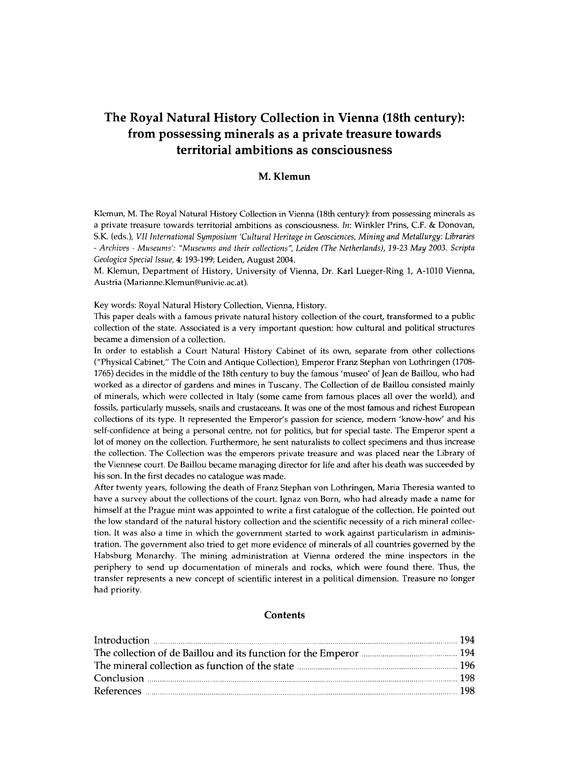# **The Royal Natural History Collection in Vienna (18th century): from possessing minerals as a private treasure towards territorial ambitions as consciousness**

# M. Klemun

**Klemun, M. The Royal Natural History Collection in Vienna (18th century): from possessing minerals as a private treasure towards territorial ambitions as consciousness.** *In:* **Winkler Prins, CF . & Donovan, S.K. (eds.),** *VII International Symposium 'Cultural Heritage in Geosciences, Mining and Metallurgy: Libraries - Archives - Museums': "Museums and their collections", Leiden (The Netherlands), 19-23 May 2003. Scripta Geológica Special Issue,* 4:**193-199; Leiden, August 2004.** 

**M. Klemun, Department of History, University of Vienna, Dr. Karl Lueger-Ring 1, A-1010 Vienna, Austria ([Marianne.Klemun@univie.ac.at\).](mailto:Marianne.Klemun@univie.ac.at)** 

**Key words: Royal Natural History Collection, Vienna, History.** 

**This paper deals with a famous private natural history collection of the court, transformed to a public collection of the state. Associated is a very important question: how cultural and political structures became a dimension of a collection.** 

**In order to establish a Court Natural History Cabinet of its own, separate from other collections ("Physical Cabinet," The Coin and Antique Collection), Emperor Franz Stephan von Lothringen (1708- 1765) decides in the middle of the 18th century to buy the famous 'museo' of Jean de Baillou, who had worked as a director of gardens and mines in Tuscany. The Collection of de Baillou consisted mainly of minerals, which were collected in Italy (some came from famous places all over the world), and fossils, particularly mussels, snails and crustaceans. It was one of the most famous and richest European collections of its type. It represented the Emperor's passion for science, modern 'know-how' and his self-confidence at being a personal centre, not for politics, but for special taste. The Emperor spent a lot of money on the collection. Furthermore, he sent naturalists to collect specimens and thus increase the collection. The Collection was the emperors private treasure and was placed near the Library of the Viennese court. De Baillou became managing director for life and after his death was succeeded by his son. In the first decades no catalogue was made.** 

**After twenty years, following the death of Franz Stephan von Lothringen, Maria Theresia wanted to have a survey about the collections of the court. Ignaz von Born, who had already made a name for himself at the Prague mint was appointed to write a first catalogue of the collection. He pointed out the low standard of the natural history collection and the scientific necessity of a rich mineral collection. It was also a time in which the government started to work against particularism in administration. The government also tried to get more evidence of minerals of all countries governed by the Habsburg Monarchy. The mining administration at Vienna ordered the mine inspectors in the periphery to send up documentation of minerals and rocks, which were found there. Thus, the transfer represents a new concept of scientific interest in a political dimension. Treasure no longer had priority.** 

## **Contents**

| Conclusion <b>Exercise Conclusion</b> 198 |  |
|-------------------------------------------|--|
|                                           |  |
|                                           |  |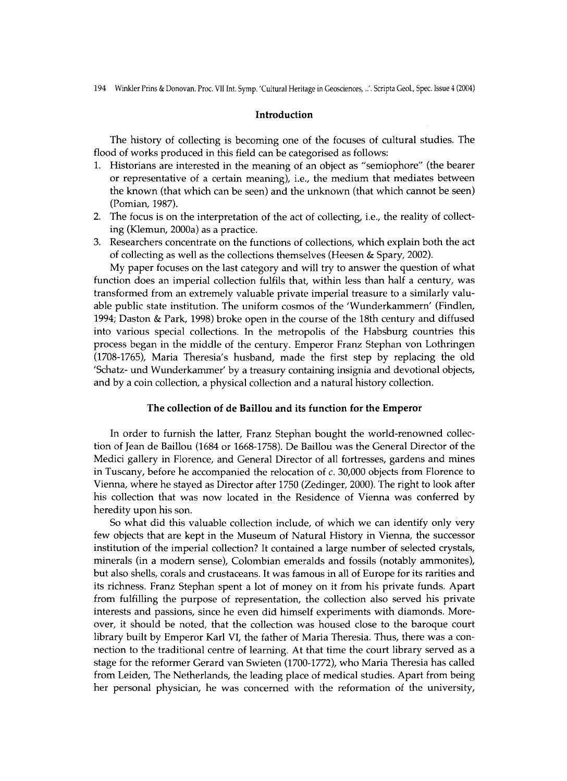#### Introduction

The history of collecting is becoming one of the focuses of cultural studies. The flood of works produced in this field can be categorised as follows:

- 1. Historians are interested in the meaning of an object as "semiophore" (the bearer or representative of a certain meaning), i.e., the medium that mediates between the known (that which can be seen) and the unknown (that which cannot be seen) (Pomian, 1987).
- 2. The focus is on the interpretation of the act of collecting, i.e., the reality of collecting (Klemun, 2000a) as a practice.
- 3. Researchers concentrate on the functions of collections, which explain both the act of collecting as well as the collections themselves (Heesen & Spary, 2002).

My paper focuses on the last category and will try to answer the question of what function does an imperial collection fulfils that, within less than half a century, was transformed from an extremely valuable private imperia l treasure to a similarly valuable public state institution. The uniform cosmos of the 'Wunderkammern' (Findlen, 1994; Daston & Park, 1998) broke open in the course of the 18th century and diffused into various special collections. In the metropolis of the Habsburg countries this process began in the middle of the century. Emperor Franz Stephan von Lothringen (1708-1765), Maria Theresia's husband, made the first step by replacing the old 'Schatz- und Wunderkammer' by a treasury containing insignia and devotional objects, and by a coin collection, a physical collection and a natural history collection.

#### The collection of de Baillou and its function for the Emperor

In order to furnish the latter, Franz Stephan bought the world-renowned collection of Jean de Baillou (1684 or 1668-1758). De Baillou was the General Director of the Medici gallery in Florence, and General Director of all fortresses, gardens and mines in Tuscany, before he accompanied the relocation of *c*. 30,000 objects from Florence to Vienna, where he stayed as Director after 1750 (Zedinger, 2000). The right to look after his collection that was now located in the Residence of Vienna was conferred by heredity upon his son.

So what did this valuable collection include, of which we can identify only very few objects that are kept in the Museum of Natural History in Vienna, the successor institution of the imperial collection? It contained a large number of selected crystals, minerals (in a modern sense), Colombian emeralds and fossils (notably ammonites), but also shells, corals and crustaceans. It was famous in all of Europe for its rarities and its richness. Franz Stephan spent a lot of money on it from his private funds . Apart from fulfilling the purpose of representation, the collection also served his private interests and passions, since he even did himself experiments with diamonds. Moreover, it should be noted, that the collection was housed close to the baroque court library built by Emperor Karl VI, the father of Maria Theresia. Thus, there was a connection to the traditional centre of learning. At that time the court library served as a stage for the reformer Gerard van Swieten (1700-1772), who Maria Theresia has called from Leiden, The Netherlands, the leading place of medical studies. Apart from being her personal physician, he was concerned with the reformation of the university,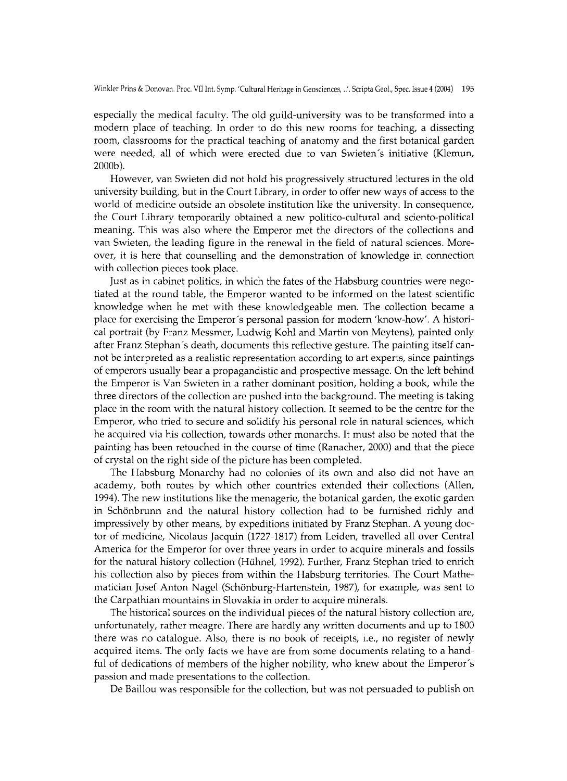especially the medical faculty. The old guild-university was to be transformed into a modern place of teaching. In order to do this new rooms for teaching, a dissecting room, classrooms for the practical teaching of anatomy and the first botanical garden were needed, all of which were erected due to van Swieten's initiative (Klemun, 2000b).

However, van Swieten did not hold his progressively structured lectures in the old university building, but in the Court Library, in order to offer new ways of access to the world of medicine outside an obsolete institution like the university. In consequence, the Court Library temporarily obtained a new politico-cultural and sciento-political meaning. This was also where the Emperor met the directors of the collections and van Swieten, the leading figure in the renewal in the field of natural sciences. Moreover, it is here that counselling and the demonstration of knowledge in connection with collection pieces took place.

Just as in cabinet politics, in which the fates of the Habsburg countries were negotiated at the round table, the Emperor wanted to be informed on the latest scientific knowledge when he met with these knowledgeable men. The collection became a place for exercising the Emperor's personal passion for modern 'know-how'. A historical portrait (by Franz Messmer, Ludwig Kohl and Martin von Meytens), painted only after Franz Stephan's death, documents this reflective gesture. The painting itself cannot be interpreted as a realistic representation according to art experts, since paintings of emperors usually bear a propagandistic and prospective message. On the left behind the Emperor is Van Swieten in a rather dominant position, holding a book, while the three directors of the collection are pushed into the background. The meeting is taking place in the room with the natural history collection. It seemed to be the centre for the Emperor, who tried to secure and solidify his personal role in natural sciences, which he acquired via his collection, towards other monarchs. It must also be noted that the painting has been retouched in the course of time (Ranacher, 2000) and that the piece of crystal on the right side of the picture has been completed.

The Habsburg Monarchy had no colonies of its own and also did not have an academy, both routes by which other countries extended their collections (Allen, 1994). The new institutions like the menagerie, the botanical garden, the exotic garden in Schönbrunn and the natural history collection had to be furnished richly and impressively by other means, by expeditions initiated by Franz Stephan. A young doctor of medicine, Nicolaus Jacquin (1727-1817) from Leiden, travelled all over Central America for the Emperor for over three years in order to acquire minerals and fossils for the natural history collection (Hühnel, 1992). Further, Franz Stephan tried to enrich his collection also by pieces from within the Habsburg territories. The Court Mathematician Josef Anton Nagel (Schönburg-Hartenstein, 1987), for example, was sent to the Carpathian mountains in Slovakia in order to acquire minerals.

The historical sources on the individual pieces of the natural history collection are, unfortunately, rather meagre. There are hardly any written documents and up to 1800 there was no catalogue. Also, there is no book of receipts, i.e., no register of newly acquired items. The only facts we have are from some documents relating to a handful of dedications of members of the higher nobility, who knew about the Emperor's passion and made presentations to the collection.

De Baillou was responsible for the collection, but was not persuaded to publish on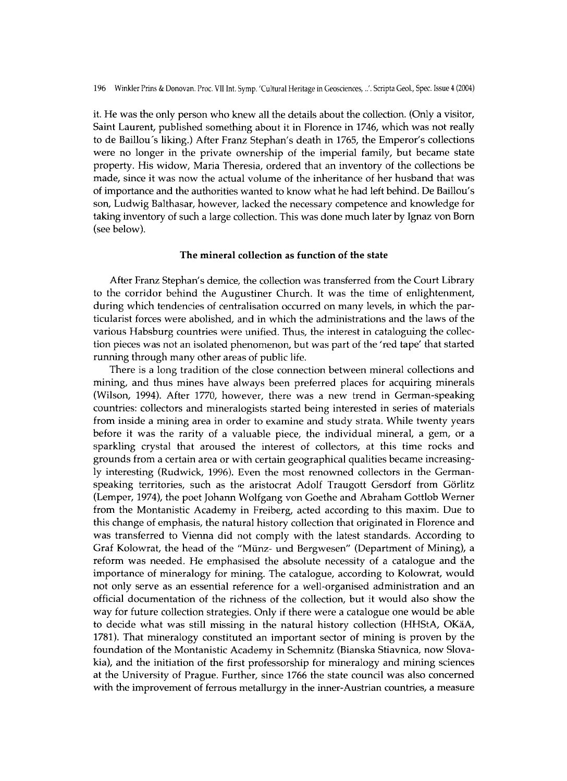it. He was the only person who knew all the details about the collection. (Only a visitor, Saint Laurent, published something about it in Florence in 1746, which was not really to de Baillou's liking.) After Franz Stephan's death in 1765, the Emperor's collections were no longer in the private ownership of the imperial family, but became state property. His widow, Maria Theresia, ordered that an inventory of the collections be made, since it was now the actual volume of the inheritance of her husband that was of importance and the authorities wanted to know what he had left behind. De Baillou's son, Ludwig Balthasar, however, lacked the necessary competence and knowledge for taking inventory of such a large collection. This was done much later by Ignaz von Born (see below).

## The mineral collection as function of the state

After Franz Stephan's demice, the collection was transferred from the Court Library to the corridor behind the Augustiner Church. It was the time of enlightenment, during which tendencies of centralisation occurred on many levels, in which the particularist forces were abolished, and in which the administrations and the laws of the various Habsburg countries were unified. Thus, the interest in cataloguing the collection pieces was not an isolated phenomenon, but was part of the 'red tape' that started running through many other areas of public life.

There is a long tradition of the close connection between mineral collections and mining, and thus mines have always been preferred places for acquiring minerals (Wilson, 1994). After 1770, however, there was a new trend in German-speaking countries: collectors and mineralogists started being interested in series of materials from inside a mining area in order to examine and study strata. While twenty years before it was the rarity of a valuable piece, the individual mineral, a gem, or a sparkling crystal that aroused the interest of collectors, at this time rocks and grounds from a certain area or with certain geographical qualities became increasingly interesting (Rudwick, 1996). Even the most renowned collectors in the Germanspeaking territories, such as the aristocrat Adolf Traugott Gersdorf from Görlitz (Lemper, 1974), the poet Johann Wolfgang von Goethe and Abraham Gottlob Werner from the Montanistic Academy in Freiberg, acted according to this maxim. Due to this change of emphasis, the natural history collection that originated in Florence and was transferred to Vienna did not comply with the latest standards. According to Graf Kolowrat, the head of the "Münz- und Bergwesen" (Department of Mining), a reform was needed. He emphasised the absolute necessity of a catalogue and the importance of mineralogy for mining. The catalogue, according to Kolowrat, would not only serve as an essential reference for a well-organised administration and an official documentation of the richness of the collection, but it would also show the way for future collection strategies. Only if there were a catalogue one would be able to decide what was still missing in the natural history collection (HHStA, OKäA, 1781). That mineralogy constituted an important sector of mining is proven by the foundation of the Montanistic Academy in Schemnitz (Bianska Stiavnica, now Slovakia), and the initiation of the first professorship for mineralogy and mining sciences at the University of Prague. Further, since 1766 the state council was also concerned with the improvement of ferrous metallurgy in the inner-Austrian countries, a measure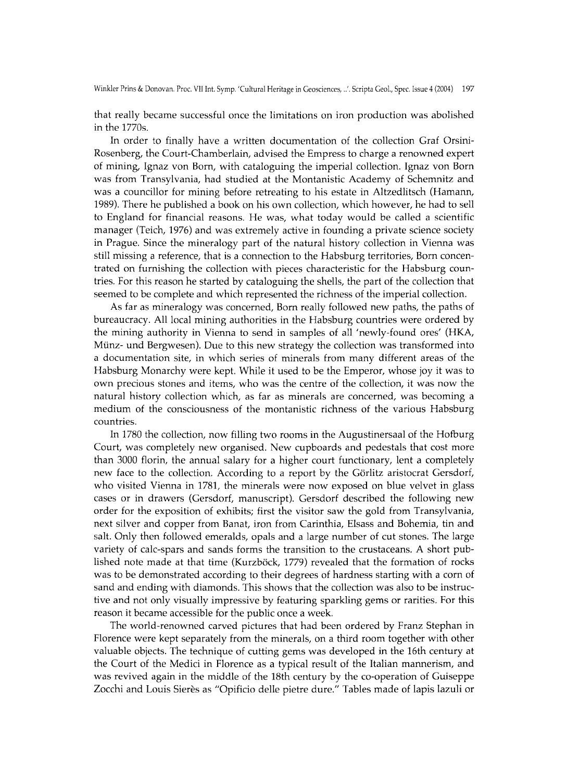that really became successful once the limitations on iron production was abolished in the  $1770s$ .

In order to finally have a written documentation of the collection Graf Orsini-Rosenberg, the Court-Chamberlain, advised the Empress to charge a renowned expert of mining, Ignaz von Born, with cataloguing the imperial collection. Ignaz von Born was from Transylvania, had studied at the Montanistic Academy of Schemnitz and was a councillor for mining before retreating to his estate in Altzedlitsch (Hamann, 1989). There he published a book on his own collection, which however, he had to sell to England for financial reasons. He was, what today would be called a scientific manager (Teich, 1976) and was extremely active in founding a private science society in Prague. Since the mineralogy part of the natural history collection in Vienna was still missing a reference, that is a connection to the Habsburg territories, Born concentrated on furnishing the collection with pieces characteristic for the Habsburg countries. For this reason he started by cataloguing the shells, the part of the collection that seemed to be complete and which represented the richness of the imperial collection.

A s far as mineralogy was concerned, Born really followed new paths, the paths of bureaucracy. All local mining authorities in the Habsburg countries were ordered by the mining authority in Vienna to send in samples of all 'newly-found ores' (HKA, Münz- und Bergwesen). Due to this new strategy the collection was transformed into a documentation site, in which series of minerals from many different areas of the Habsburg Monarchy were kept. While it used to be the Emperor, whose joy it was to own precious stones and items, who was the centre of the collection, it was now the natural history collection which, as far as minerals are concerned, was becoming a medium of the consciousness of the montanistic richness of the various Habsburg countries.

In 1780 the collection, now filling two rooms in the Augustinersaal of the Hofburg Court, was completely new organised. New cupboards and pedestals that cost more than 3000 florin, the annual salary for a higher court functionary, lent a completely new face to the collection. According to a report by the Görlitz aristocrat Gersdorf, who visited Vienna in 1781, the minerals were now exposed on blue velvet in glass cases or in drawers (Gersdorf, manuscript). Gersdorf described the following new order for the exposition of exhibits; first the visitor saw the gold from Transylvania, next silver and copper from Banat, iron from Carinthia, Elsass and Bohemia, tin and salt. Only then followed emeralds, opals and a large number of cut stones. The large variety of calc-spars and sands forms the transition to the crustaceans. A short published note made at that time (Kurzböck, 1779) revealed that the formation of rocks was to be demonstrated according to their degrees of hardness starting with a corn of sand and ending with diamonds. This shows that the collection was also to be instructive and not only visually impressive by featuring sparkling gems or rarities. For this reason it became accessible for the public once a week.

The world-renowned carved pictures that had been ordered by Franz Stephan in Florence were kept separately from the minerals, on a third room together with other valuable objects. The technique of cutting gems was developed in the 16th century at the Court of the Medici in Florence as a typical result of the Italian mannerism, and was revived again in the middle of the 18th century by the co-operation of Guiseppe Zocchi and Louis Sierès as "Opificio delle pietre dure." Tables made of lapis lazuli or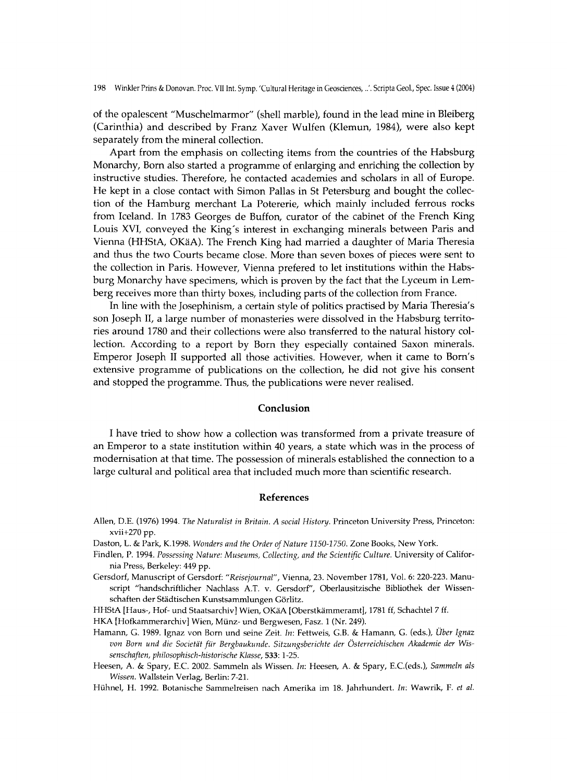of the opalescent "Muschelmarmor" (shell marble), found in the lead mine in Bleiberg (Carinthia) and described by Franz Xaver Wulfen (Klemun, 1984), were also kept separately from the mineral collection.

Apart from the emphasis on collecting items from the countries of the Habsburg Monarchy, Born also started a programme of enlarging and enriching the collection by instructive studies. Therefore, he contacted academies and scholars in all of Europe. He kept in a close contact with Simon Pallas in St Petersburg and bought the collection of the Hamburg merchant La Potererie, which mainly included ferrous rocks from Iceland. In 1783 Georges de Buffon, curator of the cabinet of the French King Louis XVI, conveyed the King's interest in exchanging minerals between Paris and Vienna (HHStA, OKäA). The French King had married a daughter of Maria Theresia and thus the two Courts became close. More than seven boxes of pieces were sent to the collection in Paris. However, Vienna prefered to let institutions within the Habsburg Monarchy have specimens, which is proven by the fact that the Lyceum in Lemberg receives more than thirty boxes, including parts of the collection from France.

In line with the Josephinism, a certain style of politics practised by Maria Theresia's son Joseph II, a large number of monasteries were dissolved in the Habsburg territories around 1780 and their collections were also transferred to the natural history collection. According to a report by Born they especially contained Saxon minerals. Emperor Joseph II supported all those activities. However, when it came to Born's extensive programme of publications on the collection, he did not give his consent and stopped the programme. Thus, the publications were never realised.

#### Conclusion

I have tried to show how a collection was transformed from a private treasure of an Emperor to a state institution within 40 years, a state which was in the process of modernisation at that time. The possession of minerals established the connection to a large cultural and political area that included much more than scientific research.

## References

- **Allen, D.E. (1976) 1994.** *The Naturalist in Britain. A social History.* **Princeton University Press, Princeton: xvii+270 pp.**
- **Daston, L. & Park, K.1998.** *Wonders and the Order of Nature 1150-1750.* **Zone Books, New York.**
- **Findlen, P. 1994.** *Possessing Nature: Museums, Collecting, and the Scientific Culture.* **University of California Press, Berkeley: 449 pp.**
- **Gersdorf, Manuscript of Gersdorf:** *"Reisejournal",* **Vienna, 23. November 1781, Vol. 6: 220-223. Manu**script "handschriftlicher Nachlass A.T. v. Gersdorf", Oberlausitzische Bibliothek der Wissen**schaften der Städtischen Kunstsammlungen Görlitz.**
- **HHStA [Haus-, Hof- und Staatsarchiv] Wien, OKäA [Oberstkämmeramt], 1781 ff, Schachtel 7 ff.**
- **H K A [Hofkammerarchiv] Wien, Münz- und Bergwesen, Fasz. 1 (Nr. 249).**
- **Hamann, G. 1989. Ignaz von Born und seine Zeit.** *In:* **Fettweis, G.B. & Hamann, G. (eds.),** *Über Ignaz von Born und die Societät für Bergbaukunde. Sitzungsberichte der Österreichischen Akademie der Wissenschaften, philosophisch-historische Klasse,* **533:1-25.**
- **Heesen, A. & Spary, E.C. 2002. Sammeln als Wissen.** *In:* **Heesen, A. & Spary, E.C.(eds.),** *Sammeln als Wissen.* **Wallstein Verlag, Berlin: 7-21.**
- **Hühnel, H . 1992. Botanische Sammelreisen nach Amerika im 18. Jahrhundert.** *In:* **Wawrik, F.** *et al.*